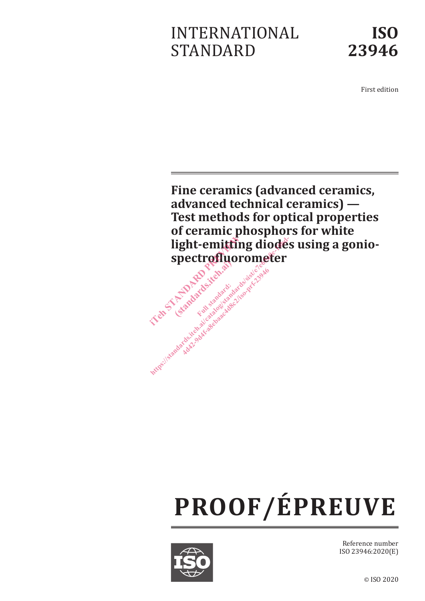# INTERNATIONAL STANDARD



First edition

**Fine ceramics (advanced ceramics, advanced technical ceramics) — Test methods for optical properties of ceramic phosphors for white light-emitting diodes using a goniospectrofluorometer** Iight-emitting **Ful dards.iteh.ai** Hight-emitting diode<br>spectrofluorometer<br>catalog standards.iteh.ai.catalog standards.iteh.ai.catalog standards.iteh.ai.catalog<br>standards.iteh.ai.catalog standards.iteh.ai.catalog standards.iteh.ai.catalog standards.iteh.ai. Intros. Il standard de Henderster and Maria Capital Standard Strings Ade

**PROOF/ÉPREUVE**



Reference number ISO 23946:2020(E)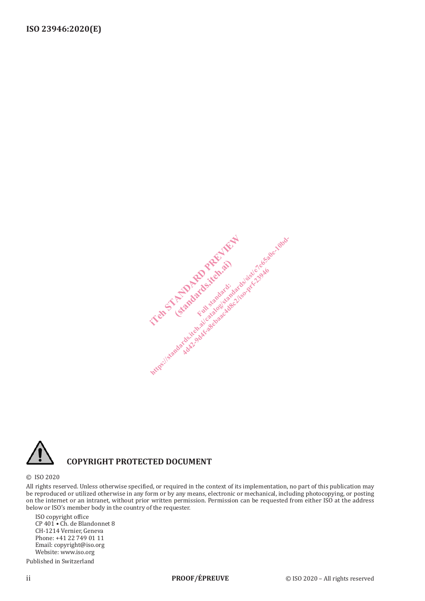



## **COPYRIGHT PROTECTED DOCUMENT**

#### © ISO 2020

All rights reserved. Unless otherwise specified, or required in the context of its implementation, no part of this publication may be reproduced or utilized otherwise in any form or by any means, electronic or mechanical, including photocopying, or posting on the internet or an intranet, without prior written permission. Permission can be requested from either ISO at the address below or ISO's member body in the country of the requester.

ISO copyright office CP 401 • Ch. de Blandonnet 8 CH-1214 Vernier, Geneva Phone: +41 22 749 01 11 Email: copyright@iso.org Website: www.iso.org

Published in Switzerland

#### **PROOF/ÉPREUVE**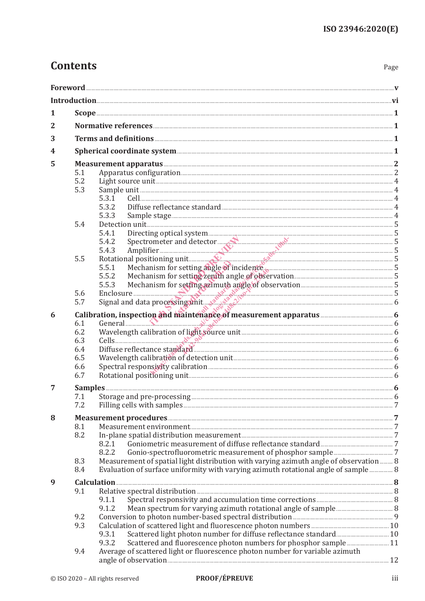# **Contents**

Page

| 1 |            |                                                                                                                                                                                                                                      |  |  |  |  |  |
|---|------------|--------------------------------------------------------------------------------------------------------------------------------------------------------------------------------------------------------------------------------------|--|--|--|--|--|
| 2 |            |                                                                                                                                                                                                                                      |  |  |  |  |  |
| 3 |            |                                                                                                                                                                                                                                      |  |  |  |  |  |
| 4 |            | Spherical coordinate system <b>Execution</b> 2 1                                                                                                                                                                                     |  |  |  |  |  |
| 5 |            |                                                                                                                                                                                                                                      |  |  |  |  |  |
|   | 5.1        |                                                                                                                                                                                                                                      |  |  |  |  |  |
|   | 5.2        |                                                                                                                                                                                                                                      |  |  |  |  |  |
|   | 5.3        | 5.3.1                                                                                                                                                                                                                                |  |  |  |  |  |
|   |            | 5.3.2                                                                                                                                                                                                                                |  |  |  |  |  |
|   |            | 5.3.3                                                                                                                                                                                                                                |  |  |  |  |  |
|   | 5.4        |                                                                                                                                                                                                                                      |  |  |  |  |  |
|   |            | 5.4.1                                                                                                                                                                                                                                |  |  |  |  |  |
|   |            | 5.4.2 Spectrometer and detector 5.4.3 Amplifier 5.4.3 Spectrometer and detector 5.4.3 5                                                                                                                                              |  |  |  |  |  |
|   | 5.5        |                                                                                                                                                                                                                                      |  |  |  |  |  |
|   |            | 5.5.1                                                                                                                                                                                                                                |  |  |  |  |  |
|   |            | 5.5.2                                                                                                                                                                                                                                |  |  |  |  |  |
|   |            | 5.5.3                                                                                                                                                                                                                                |  |  |  |  |  |
|   |            |                                                                                                                                                                                                                                      |  |  |  |  |  |
| 6 |            | 5.6 Enclosure 5<br>5.7 Signal and data processing whit 6<br>6.1 General 2008 of measurement apparatus 6<br>6.1 General 6                                                                                                             |  |  |  |  |  |
|   |            |                                                                                                                                                                                                                                      |  |  |  |  |  |
|   | 6.2        |                                                                                                                                                                                                                                      |  |  |  |  |  |
|   | 6.3        |                                                                                                                                                                                                                                      |  |  |  |  |  |
|   | 6.4<br>6.5 |                                                                                                                                                                                                                                      |  |  |  |  |  |
|   | 6.6        |                                                                                                                                                                                                                                      |  |  |  |  |  |
|   | 6.7        |                                                                                                                                                                                                                                      |  |  |  |  |  |
| 7 |            |                                                                                                                                                                                                                                      |  |  |  |  |  |
|   | 7.1        | Storage and pre-processing <b>Executive Contract Contract Contract Contract Contract Contract Contract Contract Contract Contract Contract Contract Contract Contract Contract Contract Contract Contract Contract Contract Cont</b> |  |  |  |  |  |
|   | 7.2        |                                                                                                                                                                                                                                      |  |  |  |  |  |
| 8 |            |                                                                                                                                                                                                                                      |  |  |  |  |  |
|   | 8.1        |                                                                                                                                                                                                                                      |  |  |  |  |  |
|   | 8.2        |                                                                                                                                                                                                                                      |  |  |  |  |  |
|   |            | 8.2.1<br>8.2.2                                                                                                                                                                                                                       |  |  |  |  |  |
|   | 8.3        | Measurement of spatial light distribution with varying azimuth angle of observation 8                                                                                                                                                |  |  |  |  |  |
|   | 8.4        | Evaluation of surface uniformity with varying azimuth rotational angle of sample 8                                                                                                                                                   |  |  |  |  |  |
| 9 |            |                                                                                                                                                                                                                                      |  |  |  |  |  |
|   | 9.1        |                                                                                                                                                                                                                                      |  |  |  |  |  |
|   |            | 9.1.1                                                                                                                                                                                                                                |  |  |  |  |  |
|   |            | 9.1.2                                                                                                                                                                                                                                |  |  |  |  |  |
|   | 9.2<br>9.3 |                                                                                                                                                                                                                                      |  |  |  |  |  |
|   |            | 9.3.1                                                                                                                                                                                                                                |  |  |  |  |  |
|   |            | 9.3.2                                                                                                                                                                                                                                |  |  |  |  |  |
|   | 9.4        | Average of scattered light or fluorescence photon number for variable azimuth                                                                                                                                                        |  |  |  |  |  |
|   |            |                                                                                                                                                                                                                                      |  |  |  |  |  |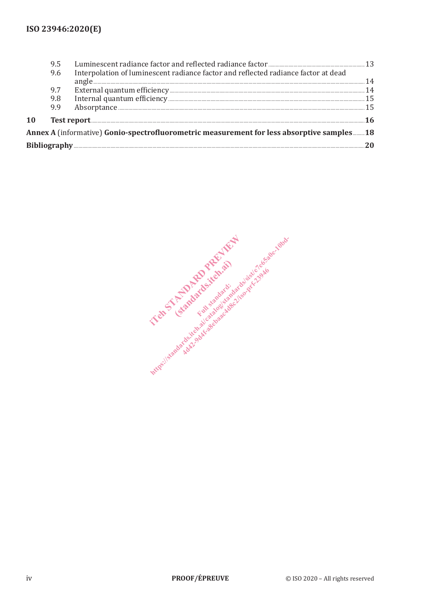|                                                                                           | 9.6 | Interpolation of luminescent radiance factor and reflected radiance factor at dead |    |  |  |  |  |
|-------------------------------------------------------------------------------------------|-----|------------------------------------------------------------------------------------|----|--|--|--|--|
|                                                                                           |     |                                                                                    | 14 |  |  |  |  |
|                                                                                           | 9.7 |                                                                                    | 14 |  |  |  |  |
|                                                                                           | 9.8 |                                                                                    |    |  |  |  |  |
|                                                                                           | 9.9 |                                                                                    |    |  |  |  |  |
| 10                                                                                        |     |                                                                                    |    |  |  |  |  |
| Annex A (informative) Gonio-spectrofluorometric measurement for less absorptive samples18 |     |                                                                                    |    |  |  |  |  |
|                                                                                           |     |                                                                                    |    |  |  |  |  |

International Activity and Section 2nd Activity of the development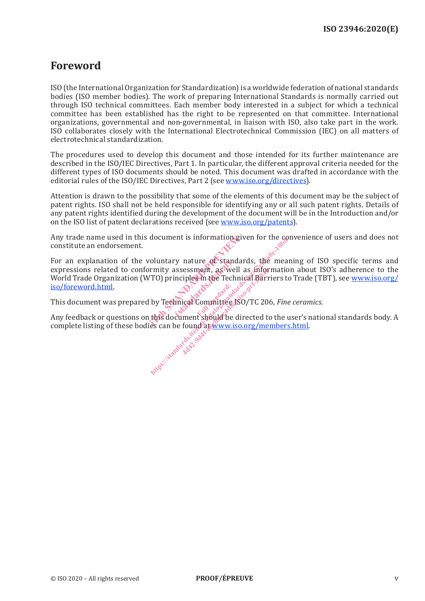# **Foreword**

ISO (the International Organization for Standardization) is a worldwide federation of national standards bodies (ISO member bodies). The work of preparing International Standards is normally carried out through ISO technical committees. Each member body interested in a subject for which a technical committee has been established has the right to be represented on that committee. International organizations, governmental and non-governmental, in liaison with ISO, also take part in the work. ISO collaborates closely with the International Electrotechnical Commission (IEC) on all matters of electrotechnical standardization.

The procedures used to develop this document and those intended for its further maintenance are described in the ISO/IEC Directives, Part 1. In particular, the different approval criteria needed for the different types of ISO documents should be noted. This document was drafted in accordance with the editorial rules of the ISO/IEC Directives, Part 2 (see www.iso.org/directives).

Attention is drawn to the possibility that some of the elements of this document may be the subject of patent rights. ISO shall not be held responsible for identifying any or all such patent rights. Details of any patent rights identified during the development of the document will be in the Introduction and/or on the ISO list of patent declarations received (see www.iso.org/patents).

Any trade name used in this document is information given for the convenience of users and does not constitute an endorsement.

For an explanation of the voluntary nature of standards, the meaning of ISO specific terms and expressions related to conformity assessment, as well as information about ISO's adherence to the World Trade Organization (WTO) principles in the Technical Barriers to Trade (TBT), see www.iso.org/<br>iso/foreword.html. iso/foreword.html. document is information given<br>
voluntary nature of standards,<br>
rmity assessment, as well as is<br>
(TO) principles in the Technical<br>
U by Technical Committeed SO/TO<br>
this document should be direct ry nature of stand<br>assessment, as well<br>inciples in the Tech<br>innical Committeed<br>comment should be document is mormation given for the document is morning of standards, the mean rmity assessment, as well as information (TO) principles in the Technical Barriers to by Technical Committee JSO/TC 206, Fine this document sho Exercise the Technical Barr<br>
iples in the Technical Barr<br>
ical Committee 180/TC 20<br>
ical Committee 180/TC 20<br>
ment should be directed to<br>
found at www.iso.org/me

This document was prepared by Technical Committee ISO/TC 206, *Fine ceramics*.

Any feedback or questions on this document should be directed to the user's national standards body. A complete listing of these bodies can be found at www.iso.org/members.html. complete listing of these bodies can be found at www.iso.org/members.html.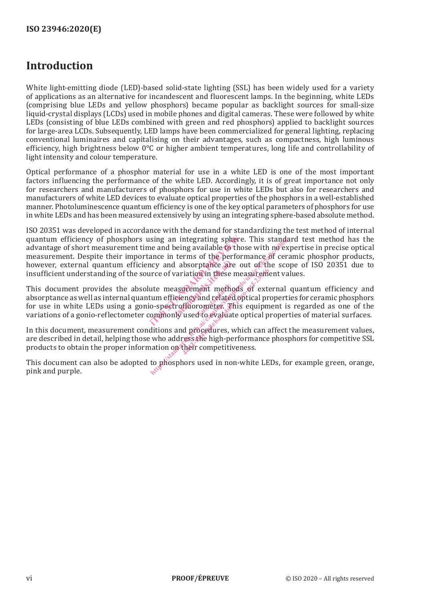# **Introduction**

White light-emitting diode (LED)-based solid-state lighting (SSL) has been widely used for a variety of applications as an alternative for incandescent and fluorescent lamps. In the beginning, white LEDs (comprising blue LEDs and yellow phosphors) became popular as backlight sources for small-size liquid-crystal displays (LCDs) used in mobile phones and digital cameras. These were followed by white LEDs (consisting of blue LEDs combined with green and red phosphors) applied to backlight sources for large-area LCDs. Subsequently, LED lamps have been commercialized for general lighting, replacing conventional luminaires and capitalising on their advantages, such as compactness, high luminous efficiency, high brightness below 0°C or higher ambient temperatures, long life and controllability of light intensity and colour temperature.

Optical performance of a phosphor material for use in a white LED is one of the most important factors influencing the performance of the white LED. Accordingly, it is of great importance not only for researchers and manufacturers of phosphors for use in white LEDs but also for researchers and manufacturers of white LED devices to evaluate optical properties of the phosphors in a well-established manner. Photoluminescence quantum efficiency is one of the key optical parameters of phosphors for use in white LEDs and has been measured extensively by using an integrating sphere-based absolute method.

ISO 20351 was developed in accordance with the demand for standardizing the test method of internal quantum efficiency of phosphors using an integrating sphere. This standard test method has the advantage of short measurement time and being available to those with no expertise in precise optical measurement. Despite their importance in terms of the performance of ceramic phosphor products, however, external quantum efficiency and absorptance are out of the scope of ISO 20351 due to insufficient understanding of the source of variation in these measurement values. ising an integrating sphere. The<br>ne and being available to those v<br>ance in terms of the performancy<br>and absorptance are out of<br>irreduced the measurement methods of<br>tum efficiency and related optica<br>io-spectrofluorometer. T ising an integrating sphere. This standard in the and being available to those with no exame and absorptance are out of the score of variation in these measurement value measurement methods of external tum efficiency and r

This document provides the absolute measurement methods of external quantum efficiency and absorptance as well as internal quantum efficiency and related optical properties for ceramic phosphors for use in white LEDs using a gonio-spectrofluorometer. This equipment is regarded as one of the variations of a gonio-reflectometer commonly used to evaluate optical properties of material surfaces. d absorptance are<br>variation in these n<br>asurement method<br>iciency and related<br>rofluorometer. The<br>ly used to evaluate riation in these measurem<br>the measurem<br>the measurem in the measurem<br>fluorometer. This equipm<br>it is equipm<br>it is a proceedures, which can<br>deprocedures, which can<br>ress the high-performance<br>their competitiveness.

In this document, measurement conditions and procedures, which can affect the measurement values, are described in detail, helping those who address the high-performance phosphors for competitive SSL products to obtain the proper information on their competitiveness.

This document can also be adopted to phosphors used in non-white LEDs, for example green, orange, pink and purple.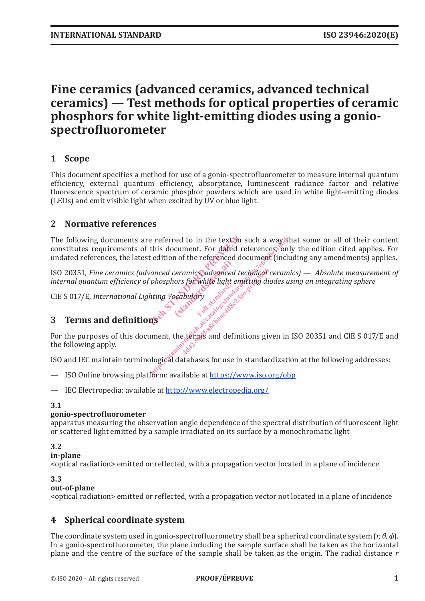# **Fine ceramics (advanced ceramics, advanced technical ceramics) — Test methods for optical properties of ceramic phosphors for white light-emitting diodes using a goniospectrofluorometer**

# **1 Scope**

This document specifies a method for use of a gonio-spectrofluorometer to measure internal quantum efficiency, external quantum efficiency, absorptance, luminescent radiance factor and relative fluorescence spectrum of ceramic phosphor powders which are used in white light-emitting diodes (LEDs) and emit visible light when excited by UV or blue light.

### **2 Normative references**

The following documents are referred to in the text in such a way that some or all of their content constitutes requirements of this document. For dated references, only the edition cited applies. For undated references, the latest edition of the referenced document (including any amendments) applies. e referred to in the text in such<br>this document. For dated refer<br>t edition of the referenced document<br>vanced ceramics advanced technic<br>phosphors for white light emitting<br>hting Vocabulary<br>hting Vocabulary e referred to in the text in such a way't<br>this document. For dated references, on<br>t edition of the referenced document (incl<br>anced ceramics, advanced technical ceram<br>phosphors for white light emitting diodes u<br>thing Vocabu

ISO 20351, *Fine ceramics (advanced ceramics, advanced technical ceramics) — Absolute measurement of internal quantum efficiency of phosphors for white light emitting diodes using an integrating sphere* ceramics advanced<br>ors for white light e Ful standards ramics advanced technical<br>s for white light emitting di<br>bulary<br>carebaac<sub>4862</sub>, carebaac<br>carebaac<sub>4862</sub><br>expressions and definitions gives

CIE S 017/E, *International Lighting Vocabulary*

# **3 Terms and definitions**

For the purposes of this document, the terms and definitions given in ISO 20351 and CIE S 017/E and the following apply.

ISO and IEC maintain terminological databases for use in standardization at the following addresses:

- ISO Online browsing platform: available at https://www.iso.org/obp
- IEC Electropedia: available at http://www.electropedia.org/

#### **3.1**

#### **gonio-spectrofluorometer**

apparatus measuring the observation angle dependence of the spectral distribution of fluorescent light or scattered light emitted by a sample irradiated on its surface by a monochromatic light

#### **3.2**

#### **in-plane**

<optical radiation> emitted or reflected, with a propagation vector located in a plane of incidence

#### **3.3**

#### **out-of-plane**

<optical radiation> emitted or reflected, with a propagation vector not located in a plane of incidence

## **4 Spherical coordinate system**

The coordinate system used in gonio-spectrofluorometry shall be a spherical coordinate system  $(r, \theta, \phi)$ . In a gonio-spectrofluorometer, the plane including the sample surface shall be taken as the horizontal plane and the centre of the surface of the sample shall be taken as the origin. The radial distance *r*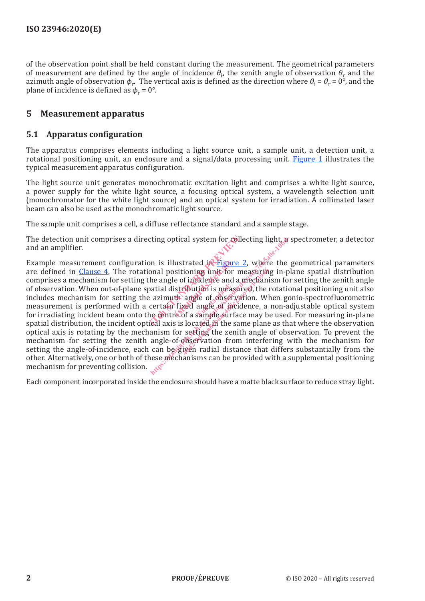of the observation point shall be held constant during the measurement. The geometrical parameters of measurement are defined by the angle of incidence  $\theta_i$ , the zenith angle of observation  $\theta_r$  and the azimuth angle of observation  $\phi_r$ . The vertical axis is defined as the direction where  $\theta_i = \theta_r = 0^{\circ}$ , and the plane of incidence is defined as  $\phi_r = 0^\circ$ .

### **5 Measurement apparatus**

#### **5.1 Apparatus configuration**

The apparatus comprises elements including a light source unit, a sample unit, a detection unit, a rotational positioning unit, an enclosure and a signal/data processing unit. Figure 1 illustrates the typical measurement apparatus configuration.

The light source unit generates monochromatic excitation light and comprises a white light source, a power supply for the white light source, a focusing optical system, a wavelength selection unit (monochromator for the white light source) and an optical system for irradiation. A collimated laser beam can also be used as the monochromatic light source.

The sample unit comprises a cell, a diffuse reflectance standard and a sample stage.

The detection unit comprises a directing optical system for collecting light, a spectrometer, a detector and an amplifier.

Example measurement configuration is illustrated in Figure 2, where the geometrical parameters are defined in <u>Clause 4</u>. The rotational positioning unit for measuring in-plane spatial distribution comprises a mechanism for setting the angle of incidence and a mechanism for setting the zenith angle of observation. When out-of-plane spatial distribution is measured, the rotational positioning unit also includes mechanism for setting the azimuth angle of observation. When gonio-spectrofluorometric measurement is performed with a certain fixed angle of incidence, a non-adjustable optical system for irradiating incident beam onto the centre of a sample surface may be used. For measuring in-plane spatial distribution, the incident optical axis is located in the same plane as that where the observation optical axis is rotating by the mechanism for setting the zenith angle of observation. To prevent the mechanism for setting the zenith angle-of-observation from interfering with the mechanism for setting the angle-of-incidence, each can be given radial distance that differs substantially from the other. Alternatively, one or both of these mechanisms can be provided with a supplemental positioning mechanism for preventing collision. cting optical system for collectin<br>
on is illustrated in Figure 2, w<br>
onal positioning unit for measured,<br>
the angle of incidence and a mechanical distribution is measured,<br>
a azimuth angle of observation<br>
certain fixed an ustrated in Figure<br>sitioning unit for<br>e of incidence and<br>istribution is measured<br>the angle of observed angle of increased angles. ti**o**n is meas<br>le of obser:<br>angle of ind<br>sample surf ting optical system for collecting light, and<br>in is illustrated in Figure 2, where the<br>onal positioning unit for measuring in-<br>the angle of incidence and a mechanism for<br>atial distribution is measured, the rotation<br>azimuth tioning unit for measurin<br>of incidence and a mechan<br>ribution is measured, the<br>angle of observation. Wixed angle of incidence, a<br>of a sample surface may b<br>s located in the same plane<br>existing the zenith angle<br>observation fr

Each component incorporated inside the enclosure should have a matte black surface to reduce stray light.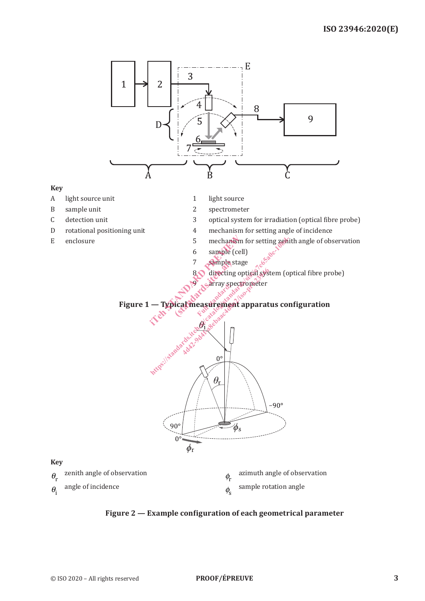

#### **Key**

- A light source unit 1 light source
- 
- 
- 
- 
- 
- B sample unit 2 spectrometer
- C detection unit 3 optical system for irradiation (optical fibre probe)
- D rotational positioning unit 4 mechanism for setting angle of incidence
- E enclosure 5 mechanism for setting zenith angle of observation
	- 6 sample (cell)
	- 7 sample stage
	- 8 directing optical system (optical fibre probe) array spectrometer Ful standards.

### **Figure 1 — Typical measurement apparatus configuration**



**Key**

| zenith angle of observation | azimuth angle of observation |
|-----------------------------|------------------------------|
| angle of incidence          | sample rotation angle        |

**Figure 2 — Example configuration of each geometrical parameter**